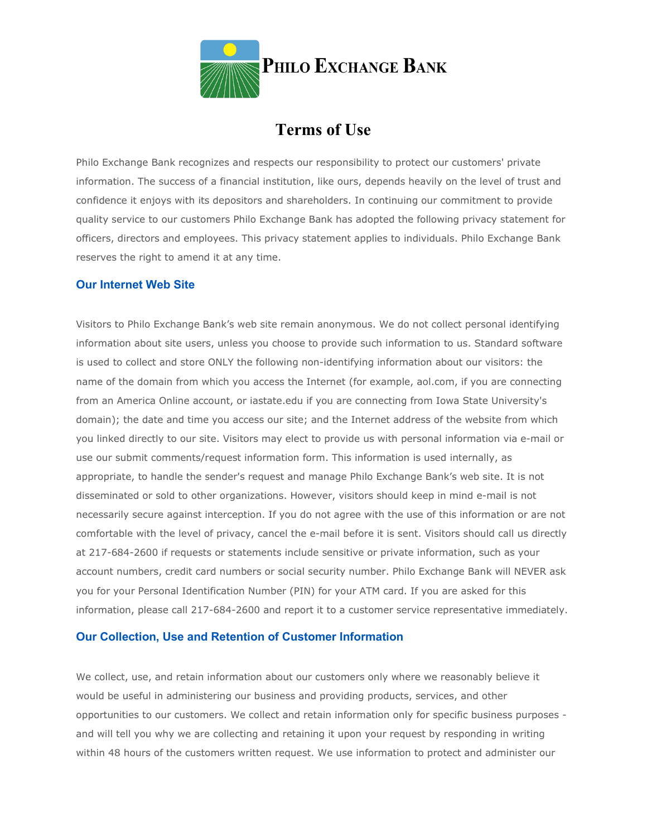

# **Terms of Use**

Philo Exchange Bank recognizes and respects our responsibility to protect our customers' private information. The success of a financial institution, like ours, depends heavily on the level of trust and confidence it enjoys with its depositors and shareholders. In continuing our commitment to provide quality service to our customers Philo Exchange Bank has adopted the following privacy statement for officers, directors and employees. This privacy statement applies to individuals. Philo Exchange Bank reserves the right to amend it at any time.

# **Our Internet Web Site**

Visitors to Philo Exchange Bank's web site remain anonymous. We do not collect personal identifying information about site users, unless you choose to provide such information to us. Standard software is used to collect and store ONLY the following non-identifying information about our visitors: the name of the domain from which you access the Internet (for example, aol.com, if you are connecting from an America Online account, or iastate.edu if you are connecting from Iowa State University's domain); the date and time you access our site; and the Internet address of the website from which you linked directly to our site. Visitors may elect to provide us with personal information via e-mail or use our submit comments/request information form. This information is used internally, as appropriate, to handle the sender's request and manage Philo Exchange Bank's web site. It is not disseminated or sold to other organizations. However, visitors should keep in mind e-mail is not necessarily secure against interception. If you do not agree with the use of this information or are not comfortable with the level of privacy, cancel the e-mail before it is sent. Visitors should call us directly at 217-684-2600 if requests or statements include sensitive or private information, such as your account numbers, credit card numbers or social security number. Philo Exchange Bank will NEVER ask you for your Personal Identification Number (PIN) for your ATM card. If you are asked for this information, please call 217-684-2600 and report it to a customer service representative immediately.

# **Our Collection, Use and Retention of Customer Information**

We collect, use, and retain information about our customers only where we reasonably believe it would be useful in administering our business and providing products, services, and other opportunities to our customers. We collect and retain information only for specific business purposes and will tell you why we are collecting and retaining it upon your request by responding in writing within 48 hours of the customers written request. We use information to protect and administer our